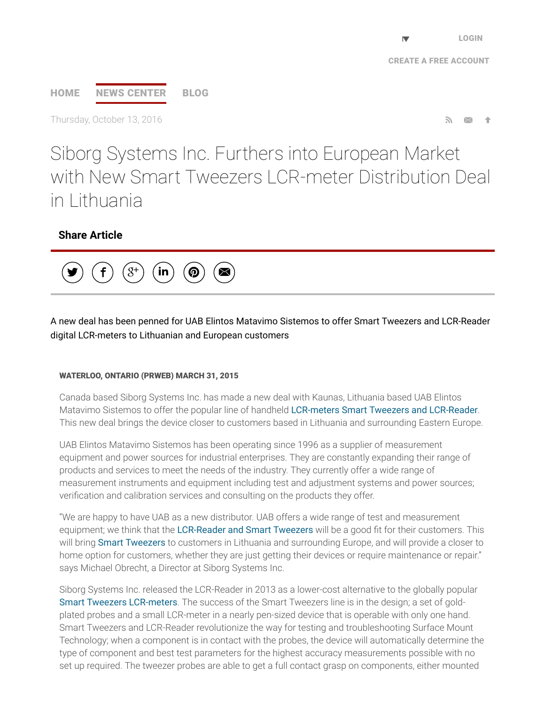# [HOME](http://www.prweb.com/) NEWS [CENTER](http://www.prweb.com/recentnews/) [BLOG](http://www.cision.com/us/blog/)

Thursday, October 13, 2016

Siborg Systems Inc. Furthers into European Market with New Smart Tweezers LCR-meter Distribution Deal in Lithuania

## Share Article



A new deal has been penned for UAB Elintos Matavimo Sistemos to offer Smart Tweezers and LCR-Reader digital LCR-meters to Lithuanian and European customers

#### WATERLOO, ONTARIO (PRWEB) MARCH 31, 2015

Canada based Siborg Systems Inc. has made a new deal with Kaunas, Lithuania based UAB Elintos Matavimo Sistemos to offer the popular line of handheld LCR-meters Smart Tweezers and [LCR-Reader.](http://www.prweb.net/Redirect.aspx?id=aHR0cDovL3d3dy5sY3ItcmVhZGVyLmNvbQ==) This new deal brings the device closer to customers based in Lithuania and surrounding Eastern Europe.

UAB Elintos Matavimo Sistemos has been operating since 1996 as a supplier of measurement equipment and power sources for industrial enterprises. They are constantly expanding their range of products and services to meet the needs of the industry. They currently offer a wide range of measurement instruments and equipment including test and adjustment systems and power sources; veri∱cation and calibration services and consulting on the products they offer.

"We are happy to have UAB as a new distributor. UAB offers a wide range of test and measurement equipment; we think that the [LCR-Reader](http://www.prweb.net/Redirect.aspx?id=aHR0cDovL3d3dy5zbWFydHR3ZWV6ZXJzLmNu) and Smart Tweezers will be a good fit for their customers. This will bring Smart [Tweezers](http://www.prweb.net/Redirect.aspx?id=aHR0cDovL3d3dy5zbWFydHR3ZWV6ZXJzLmlu) to customers in Lithuania and surrounding Europe, and will provide a closer to home option for customers, whether they are just getting their devices or require maintenance or repair." says Michael Obrecht, a Director at Siborg Systems Inc.

Siborg Systems Inc. released the LCR-Reader in 2013 as a lower-cost alternative to the globally popular Smart Tweezers [LCR-meters](http://www.prweb.net/Redirect.aspx?id=aHR0cDovL3d3dy5zbWFydHR3ZWV6ZXJzLmNh). The success of the Smart Tweezers line is in the design; a set of goldplated probes and a small LCR-meter in a nearly pen-sized device that is operable with only one hand. Smart Tweezers and LCR-Reader revolutionize the way for testing and troubleshooting Surface Mount Technology; when a component is in contact with the probes, the device will automatically determine the type of component and best test parameters for the highest accuracy measurements possible with no set up required. The tweezer probes are able to get a full contact grasp on components, either mounted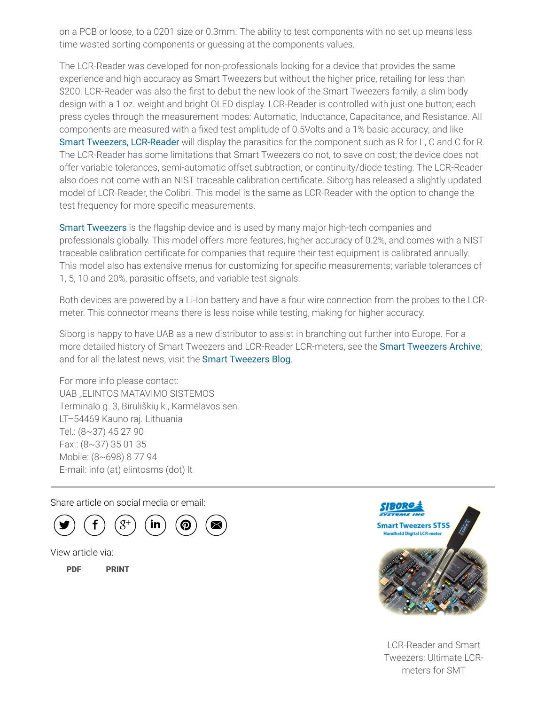on a PCB or loose, to a 0201 size or 0.3mm. The ability to test components with no set up means less time wasted sorting components or guessing at the components values.

The LCR-Reader was developed for non-professionals looking for a device that provides the same experience and high accuracy as Smart Tweezers but without the higher price, retailing for less than \$200. LCR-Reader was also the first to debut the new look of the Smart Tweezers family; a slim body design with a 1 oz. weight and bright OLED display. LCR-Reader is controlled with just one button; each press cycles through the measurement modes: Automatic, Inductance, Capacitance, and Resistance. All components are measured with a fixed test amplitude of 0.5Volts and a 1% basic accuracy; and like Smart Tweezers, [LCR-Reader](http://www.prweb.net/Redirect.aspx?id=aHR0cDovL3d3dy5zbWFydHR3ZWV6ZXJzLmNvbS5ydQ==) will display the parasitics for the component such as R for L, C and C for R. The LCR-Reader has some limitations that Smart Tweezers do not, to save on cost; the device does not offer variable tolerances, semi-automatic offset subtraction, or continuity/diode testing. The LCR-Reader also does not come with an NIST traceable calibration certificate. Siborg has released a slightly updated model of LCR-Reader, the Colibri. This model is the same as LCR-Reader with the option to change the test frequency for more specific measurements.

Smart [Tweezers](http://www.prweb.net/Redirect.aspx?id=aHR0cDovL3d3dy5zbWFydHR3ZWV6ZXJzLnVz) is the flagship device and is used by many major high-tech companies and professionals globally. This model offers more features, higher accuracy of 0.2%, and comes with a NIST traceable calibration certificate for companies that require their test equipment is calibrated annually. This model also has extensive menus for customizing for specific measurements; variable tolerances of 1, 5, 10 and 20%, parasitic offsets, and variable test signals.

Both devices are powered by a Li-Ion battery and have a four wire connection from the probes to the LCRmeter. This connector means there is less noise while testing, making for higher accuracy.

Siborg is happy to have UAB as a new distributor to assist in branching out further into Europe. For a more detailed history of Smart Tweezers and LCR-Reader LCR-meters, see the Smart [Tweezers](http://www.prweb.net/Redirect.aspx?id=aHR0cDovL3d3dy5zbWFydHR3ZWV6ZXJzLmluZm8=) Archive; and for all the latest news, visit the Smart [Tweezers](http://www.prweb.net/Redirect.aspx?id=aHR0cDovL3d3dy5zbWFydHR3ZWV6ZXJzLnVzL2Jsb2c=) Blog.

For more info please contact: UAB "ELINTOS MATAVIMO SISTEMOS Terminalo g. 3, Biruliškių k., Karmėlavos sen. LT–54469 Kauno raj. Lithuania Tel.: (8~37) 45 27 90 Fax.: (8~37) 35 01 35 Mobile: (8~698) 8 77 94 E-mail: info (at) elintosms (dot) lt

Share article on social media or email:



View article via:

[PDF](http://www.prweb.com/pdfdownload/12622072.pdf) [PRINT](http://www.prweb.com/printer/12622072.htm)



LCR-Reader and Smart Tweezers: Ultimate LCRmeters for SMT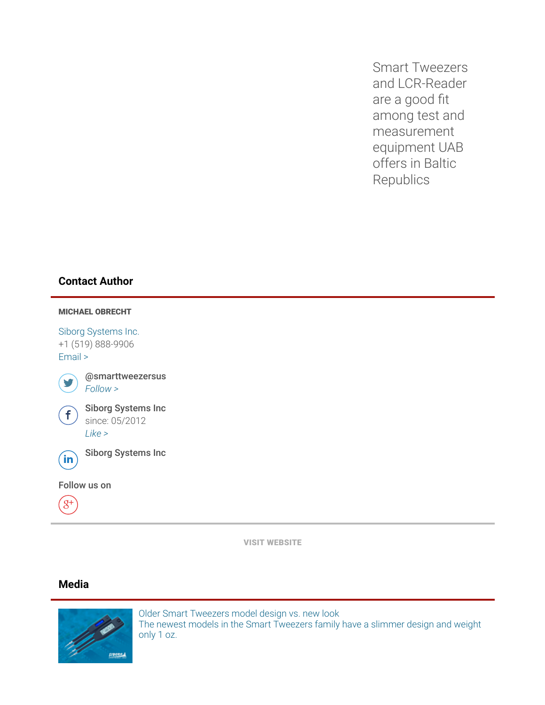Smart Tweezers and LCR-Reader are a good fit among test and measurement equipment UAB offers in Baltic Republics

## Contact Author



VISIT [WEBSITE](http://www.prweb.net/Redirect.aspx?id=aHR0cDovL3d3dy5sY3ItcmVhZGVyLmNvbQ==)

### Media



Older Smart Tweezers model design vs. new look The newest models in the Smart [Tweezers](http://ww1.prweb.com/prfiles/2014/09/30/12622072/ST-ST5Scomparison.png) family have a slimmer design and weight only 1 oz.